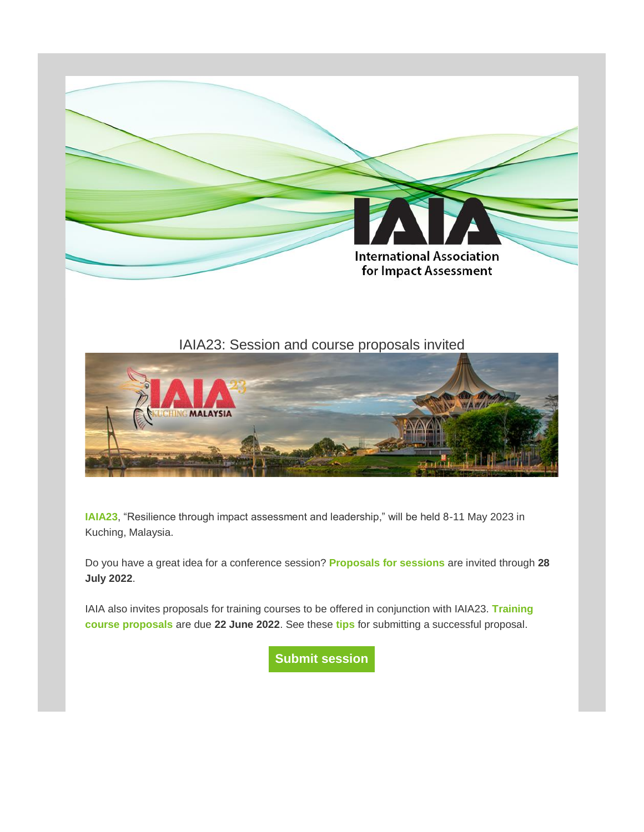

# IAIA23: Session and course proposals invited



**[IAIA23](http://iaia.informz.net/z/cjUucD9taT0zNjY0MjI1JnA9MSZ1PTQwNTIyMTY3MiZsaT0zNTc3NTMyMQ/index.html)**, "Resilience through impact assessment and leadership," will be held 8-11 May 2023 in Kuching, Malaysia.

Do you have a great idea for a conference session? **[Proposals for sessions](http://iaia.informz.net/z/cjUucD9taT0zNjY0MjI1JnA9MSZ1PTQwNTIyMTY3MiZsaT0zNTc3NTMyMg/index.html)** are invited through **28 July 2022**.

IAIA also invites proposals for training courses to be offered in conjunction with IAIA23. **[Training](http://iaia.informz.net/z/cjUucD9taT0zNjY0MjI1JnA9MSZ1PTQwNTIyMTY3MiZsaT0zNTc3NTMyNA/index.html)  [course proposals](http://iaia.informz.net/z/cjUucD9taT0zNjY0MjI1JnA9MSZ1PTQwNTIyMTY3MiZsaT0zNTc3NTMyNA/index.html)** are due **22 June 2022**. See these **[tips](http://iaia.informz.net/z/cjUucD9taT0zNjY0MjI1JnA9MSZ1PTQwNTIyMTY3MiZsaT0zNTc3NTMyNQ/index.html)** for submitting a successful proposal.

**[Submit session](http://iaia.informz.net/z/cjUucD9taT0zNjY0MjI1JnA9MSZ1PTQwNTIyMTY3MiZsaT0zNTc3NTMyNg/index.html)**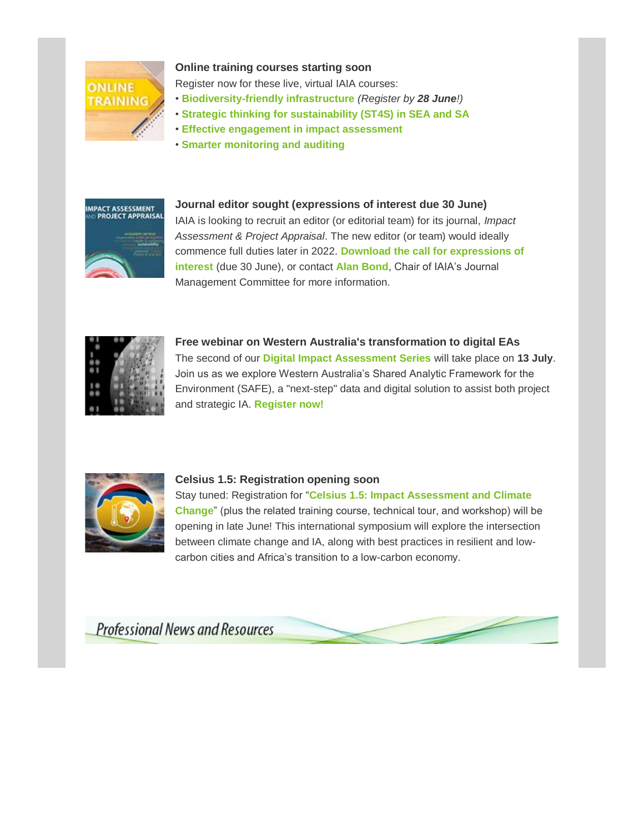

#### **Online training courses starting soon**

Register now for these live, virtual IAIA courses:

- **[Biodiversity-friendly infrastructure](http://iaia.informz.net/z/cjUucD9taT0zNjY0MjI1JnA9MSZ1PTQwNTIyMTY3MiZsaT0zNTc3NTMyOA/index.html)** *(Register by 28 June!)*
- *•* **[Strategic thinking for sustainability \(ST4S\) in SEA and SA](http://iaia.informz.net/z/cjUucD9taT0zNjY0MjI1JnA9MSZ1PTQwNTIyMTY3MiZsaT0zNTc3NTMyOQ/index.html)**
- **[Effective engagement in impact assessment](http://iaia.informz.net/z/cjUucD9taT0zNjY0MjI1JnA9MSZ1PTQwNTIyMTY3MiZsaT0zNTc3NTMzMA/index.html)**
- *•* **[Smarter monitoring and auditing](http://iaia.informz.net/z/cjUucD9taT0zNjY0MjI1JnA9MSZ1PTQwNTIyMTY3MiZsaT0zNTc3NTMzMQ/index.html)**



#### **Journal editor sought (expressions of interest due 30 June)**

IAIA is looking to recruit an editor (or editorial team) for its journal, *Impact Assessment & Project Appraisal*. The new editor (or team) would ideally commence full duties later in 2022. **[Download the call for expressions of](http://iaia.informz.net/z/cjUucD9taT0zNjY0MjI1JnA9MSZ1PTQwNTIyMTY3MiZsaT0zNTc3NTMzMg/index.html)  [interest](http://iaia.informz.net/z/cjUucD9taT0zNjY0MjI1JnA9MSZ1PTQwNTIyMTY3MiZsaT0zNTc3NTMzMg/index.html)** (due 30 June), or contact **[Alan Bond](mailto:alan.bond@uea.ac.uk?subject=IAPA%20journal%20editor%20position)**, Chair of IAIA's Journal Management Committee for more information.



**Free webinar on Western Australia's transformation to digital EAs** The second of our **[Digital Impact Assessment Series](http://iaia.informz.net/z/cjUucD9taT0zNjY0MjI1JnA9MSZ1PTQwNTIyMTY3MiZsaT0zNTc3NTMzMw/index.html)** will take place on **13 July**. Join us as we explore Western Australia's Shared Analytic Framework for the Environment (SAFE), a "next-step" data and digital solution to assist both project and strategic IA. **[Register now!](http://iaia.informz.net/z/cjUucD9taT0zNjY0MjI1JnA9MSZ1PTQwNTIyMTY3MiZsaT0zNTc3NTMzMw/index.html)**



#### **Celsius 1.5: Registration opening soon**

Stay tuned: Registration for "**[Celsius 1.5: Impact Assessment and Climate](https://conferences.iaia.org/climatechange22/index.php)  [Change](https://conferences.iaia.org/climatechange22/index.php)**" (plus the related training course, technical tour, and workshop) will be opening in late June! This international symposium will explore the intersection between climate change and IA, along with best practices in resilient and lowcarbon cities and Africa's transition to a low-carbon economy.

**Professional News and Resources**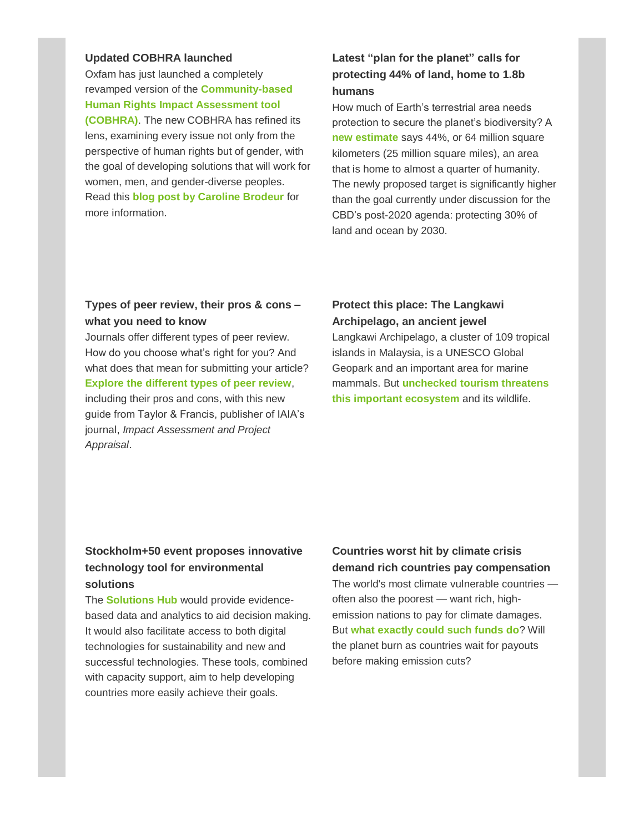#### **Updated COBHRA launched**

Oxfam has just launched a completely revamped version of the **[Community-based](http://iaia.informz.net/z/cjUucD9taT0zNjY0MjI1JnA9MSZ1PTQwNTIyMTY3MiZsaT0zNTc3NTMzNQ/index.html)  [Human Rights Impact Assessment tool](http://iaia.informz.net/z/cjUucD9taT0zNjY0MjI1JnA9MSZ1PTQwNTIyMTY3MiZsaT0zNTc3NTMzNQ/index.html)  [\(COBHRA\)](http://iaia.informz.net/z/cjUucD9taT0zNjY0MjI1JnA9MSZ1PTQwNTIyMTY3MiZsaT0zNTc3NTMzNQ/index.html)**. The new COBHRA has refined its lens, examining every issue not only from the perspective of human rights but of gender, with the goal of developing solutions that will work for women, men, and gender-diverse peoples. Read this **[blog post by Caroline Brodeur](http://iaia.informz.net/z/cjUucD9taT0zNjY0MjI1JnA9MSZ1PTQwNTIyMTY3MiZsaT0zNTc3NTMzNg/index.html)** for more information.

## **Latest "plan for the planet" calls for protecting 44% of land, home to 1.8b humans**

How much of Earth's terrestrial area needs protection to secure the planet's biodiversity? A **[new estimate](http://iaia.informz.net/z/cjUucD9taT0zNjY0MjI1JnA9MSZ1PTQwNTIyMTY3MiZsaT0zNTc3NTMzNw/index.html)** says 44%, or 64 million square kilometers (25 million square miles), an area that is home to almost a quarter of humanity. The newly proposed target is significantly higher than the goal currently under discussion for the CBD's post-2020 agenda: protecting 30% of land and ocean by 2030.

### **Types of peer review, their pros & cons – what you need to know**

Journals offer different types of peer review. How do you choose what's right for you? And what does that mean for submitting your article? **[Explore the different types of peer review](http://iaia.informz.net/z/cjUucD9taT0zNjY0MjI1JnA9MSZ1PTQwNTIyMTY3MiZsaT0zNTc3NTM0MA/index.html)**, including their pros and cons, with this new guide from Taylor & Francis, publisher of IAIA's

journal, *Impact Assessment and Project Appraisal*.

### **Protect this place: The Langkawi Archipelago, an ancient jewel**

Langkawi Archipelago, a cluster of 109 tropical islands in Malaysia, is a UNESCO Global Geopark and an important area for marine mammals. But **[unchecked tourism threatens](http://iaia.informz.net/z/cjUucD9taT0zNjY0MjI1JnA9MSZ1PTQwNTIyMTY3MiZsaT0zNTc3NTM0Mw/index.html)  [this important ecosystem](http://iaia.informz.net/z/cjUucD9taT0zNjY0MjI1JnA9MSZ1PTQwNTIyMTY3MiZsaT0zNTc3NTM0Mw/index.html)** and its wildlife.

#### **Stockholm+50 event proposes innovative technology tool for environmental solutions**

The **[Solutions Hub](http://iaia.informz.net/z/cjUucD9taT0zNjY0MjI1JnA9MSZ1PTQwNTIyMTY3MiZsaT0zNTc3NTM0NA/index.html)** would provide evidencebased data and analytics to aid decision making. It would also facilitate access to both digital technologies for sustainability and new and successful technologies. These tools, combined with capacity support, aim to help developing countries more easily achieve their goals.

### **Countries worst hit by climate crisis demand rich countries pay compensation**

The world's most climate vulnerable countries often also the poorest — want rich, highemission nations to pay for climate damages. But **[what exactly could such funds do](http://iaia.informz.net/z/cjUucD9taT0zNjY0MjI1JnA9MSZ1PTQwNTIyMTY3MiZsaT0zNTc3NTM0Nw/index.html)**? Will the planet burn as countries wait for payouts before making emission cuts?